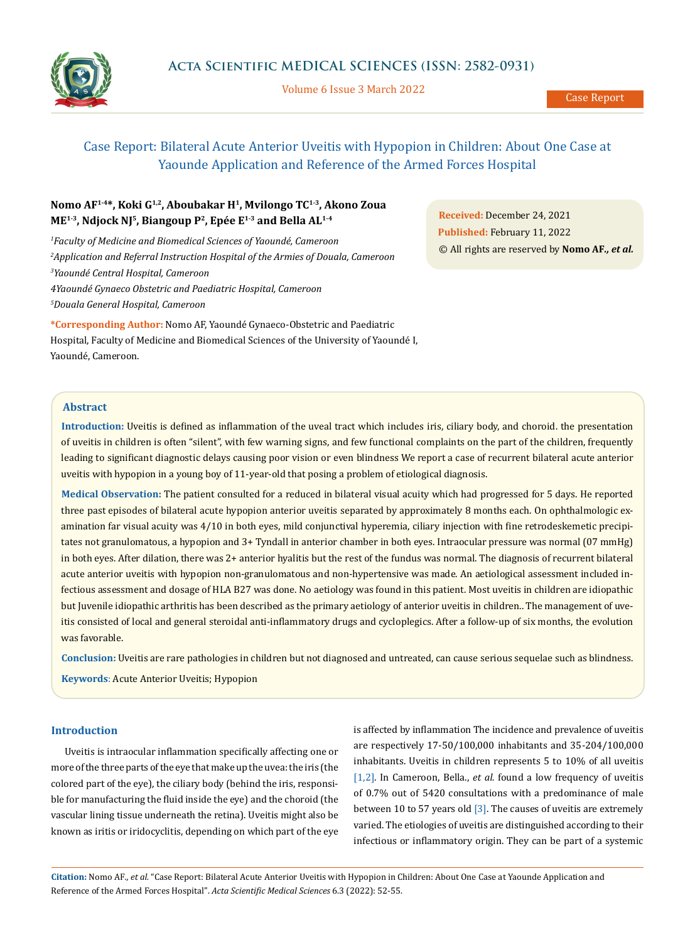

Volume 6 Issue 3 March 2022

# Case Report: Bilateral Acute Anterior Uveitis with Hypopion in Children: About One Case at Yaounde Application and Reference of the Armed Forces Hospital

# **Nomo AF1-4\*, Koki G1,2, Aboubakar H1, Mvilongo TC1-3, Akono Zoua ME1-3, Ndjock NJ5, Biangoup P2, Epée E1-3 and Bella AL1-4**

 *Faculty of Medicine and Biomedical Sciences of Yaoundé, Cameroon Application and Referral Instruction Hospital of the Armies of Douala, Cameroon Yaoundé Central Hospital, Cameroon 4Yaoundé Gynaeco Obstetric and Paediatric Hospital, Cameroon Douala General Hospital, Cameroon*

**\*Corresponding Author:** Nomo AF, Yaoundé Gynaeco-Obstetric and Paediatric Hospital, Faculty of Medicine and Biomedical Sciences of the University of Yaoundé I, Yaoundé, Cameroon.

**Received:** December 24, 2021 **Published:** February 11, 2022 © All rights are reserved by **Nomo AF***., et al.*

# **Abstract**

**Introduction:** Uveitis is defined as inflammation of the uveal tract which includes iris, ciliary body, and choroid. the presentation of uveitis in children is often "silent", with few warning signs, and few functional complaints on the part of the children, frequently leading to significant diagnostic delays causing poor vision or even blindness We report a case of recurrent bilateral acute anterior uveitis with hypopion in a young boy of 11-year-old that posing a problem of etiological diagnosis.

**Medical Observation:** The patient consulted for a reduced in bilateral visual acuity which had progressed for 5 days. He reported three past episodes of bilateral acute hypopion anterior uveitis separated by approximately 8 months each. On ophthalmologic examination far visual acuity was 4/10 in both eyes, mild conjunctival hyperemia, ciliary injection with fine retrodeskemetic precipitates not granulomatous, a hypopion and 3+ Tyndall in anterior chamber in both eyes. Intraocular pressure was normal (07 mmHg) in both eyes. After dilation, there was 2+ anterior hyalitis but the rest of the fundus was normal. The diagnosis of recurrent bilateral acute anterior uveitis with hypopion non-granulomatous and non-hypertensive was made. An aetiological assessment included infectious assessment and dosage of HLA B27 was done. No aetiology was found in this patient. Most uveitis in children are idiopathic but Juvenile idiopathic arthritis has been described as the primary aetiology of anterior uveitis in children.. The management of uveitis consisted of local and general steroidal anti-inflammatory drugs and cycloplegics. After a follow-up of six months, the evolution was favorable.

**Conclusion:** Uveitis are rare pathologies in children but not diagnosed and untreated, can cause serious sequelae such as blindness. **Keywords**: Acute Anterior Uveitis; Hypopion

## **Introduction**

Uveitis is intraocular inflammation specifically affecting one or more of the three parts of the eye that make up the uvea: the iris (the colored part of the eye), the ciliary body (behind the iris, responsible for manufacturing the fluid inside the eye) and the choroid (the vascular lining tissue underneath the retina). Uveitis might also be known as iritis or iridocyclitis, depending on which part of the eye is affected by inflammation The incidence and prevalence of uveitis are respectively 17-50/100,000 inhabitants and 35-204/100,000 inhabitants. Uveitis in children represents 5 to 10% of all uveitis [1,2]. In Cameroon, Bella., et al. found a low frequency of uveitis of 0.7% out of 5420 consultations with a predominance of male between 10 to 57 years old  $\lceil 3 \rceil$ . The causes of uveitis are extremely varied. The etiologies of uveitis are distinguished according to their infectious or inflammatory origin. They can be part of a systemic

**Citation:** Nomo AF*., et al.* "Case Report: Bilateral Acute Anterior Uveitis with Hypopion in Children: About One Case at Yaounde Application and Reference of the Armed Forces Hospital". *Acta Scientific Medical Sciences* 6.3 (2022): 52-55.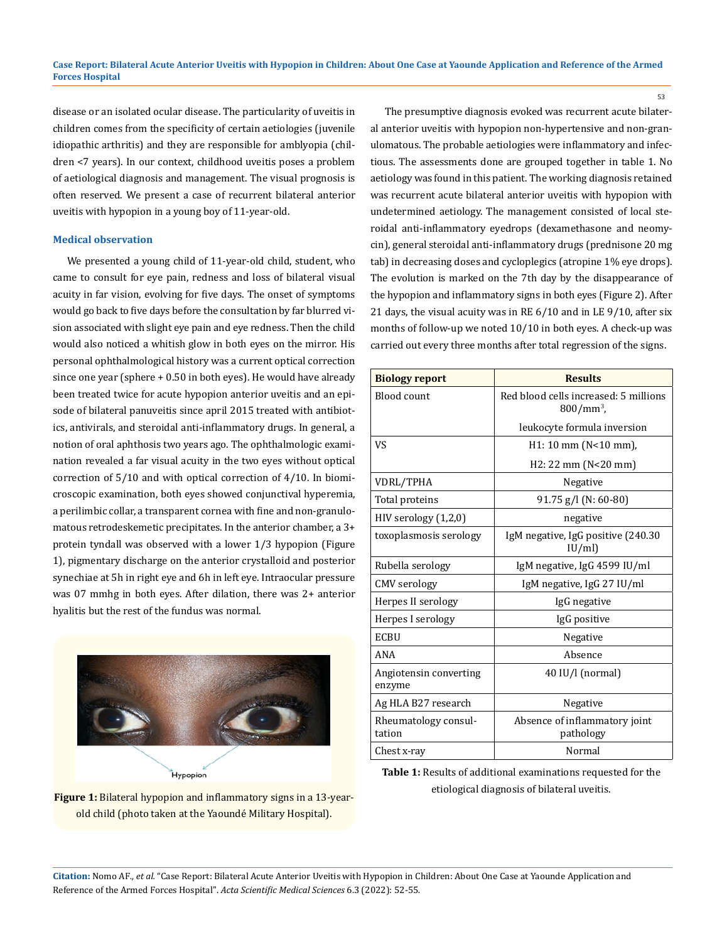disease or an isolated ocular disease. The particularity of uveitis in children comes from the specificity of certain aetiologies (juvenile idiopathic arthritis) and they are responsible for amblyopia (children <7 years). In our context, childhood uveitis poses a problem of aetiological diagnosis and management. The visual prognosis is often reserved. We present a case of recurrent bilateral anterior uveitis with hypopion in a young boy of 11-year-old.

#### **Medical observation**

We presented a young child of 11-year-old child, student, who came to consult for eye pain, redness and loss of bilateral visual acuity in far vision, evolving for five days. The onset of symptoms would go back to five days before the consultation by far blurred vision associated with slight eye pain and eye redness. Then the child would also noticed a whitish glow in both eyes on the mirror. His personal ophthalmological history was a current optical correction since one year (sphere + 0.50 in both eyes). He would have already been treated twice for acute hypopion anterior uveitis and an episode of bilateral panuveitis since april 2015 treated with antibiotics, antivirals, and steroidal anti-inflammatory drugs. In general, a notion of oral aphthosis two years ago. The ophthalmologic examination revealed a far visual acuity in the two eyes without optical correction of 5/10 and with optical correction of 4/10. In biomicroscopic examination, both eyes showed conjunctival hyperemia, a perilimbic collar, a transparent cornea with fine and non-granulomatous retrodeskemetic precipitates. In the anterior chamber, a 3+ protein tyndall was observed with a lower 1/3 hypopion (Figure 1), pigmentary discharge on the anterior crystalloid and posterior synechiae at 5h in right eye and 6h in left eye. Intraocular pressure was 07 mmhg in both eyes. After dilation, there was 2+ anterior hyalitis but the rest of the fundus was normal.



**Figure 1:** Bilateral hypopion and inflammatory signs in a 13-yearold child (photo taken at the Yaoundé Military Hospital).

The presumptive diagnosis evoked was recurrent acute bilateral anterior uveitis with hypopion non-hypertensive and non-granulomatous. The probable aetiologies were inflammatory and infectious. The assessments done are grouped together in table 1. No aetiology was found in this patient. The working diagnosis retained was recurrent acute bilateral anterior uveitis with hypopion with undetermined aetiology. The management consisted of local steroidal anti-inflammatory eyedrops (dexamethasone and neomycin), general steroidal anti-inflammatory drugs (prednisone 20 mg tab) in decreasing doses and cycloplegics (atropine 1% eye drops). The evolution is marked on the 7th day by the disappearance of the hypopion and inflammatory signs in both eyes (Figure 2). After 21 days, the visual acuity was in RE 6/10 and in LE 9/10, after six months of follow-up we noted 10/10 in both eyes. A check-up was carried out every three months after total regression of the signs.

| <b>Biology report</b>            | <b>Results</b>                                        |
|----------------------------------|-------------------------------------------------------|
| Blood count                      | Red blood cells increased: 5 millions<br>$800/mm^3$ , |
|                                  | leukocyte formula inversion                           |
| VS                               | $H1: 10$ mm (N<10 mm),                                |
|                                  | $H2: 22 \, \text{mm}$ (N<20 mm)                       |
| VDRL/TPHA                        | Negative                                              |
| Total proteins                   | 91.75 g/l (N: 60-80)                                  |
| $HIV$ serology $(1,2,0)$         | negative                                              |
| toxoplasmosis serology           | IgM negative, IgG positive (240.30)<br>IU/ml          |
| Rubella serology                 | IgM negative, IgG 4599 IU/ml                          |
| <b>CMV</b> serology              | IgM negative, IgG 27 IU/ml                            |
| Herpes II serology               | IgG negative                                          |
| Herpes I serology                | IgG positive                                          |
| <b>ECBU</b>                      | Negative                                              |
| ANA                              | Absence                                               |
| Angiotensin converting<br>enzyme | 40 IU/l (normal)                                      |
| Ag HLA B27 research              | Negative                                              |
| Rheumatology consul-<br>tation   | Absence of inflammatory joint<br>pathology            |
| Chest x-ray                      | Normal                                                |

**Table 1:** Results of additional examinations requested for the etiological diagnosis of bilateral uveitis.

**Citation:** Nomo AF*., et al.* "Case Report: Bilateral Acute Anterior Uveitis with Hypopion in Children: About One Case at Yaounde Application and Reference of the Armed Forces Hospital". *Acta Scientific Medical Sciences* 6.3 (2022): 52-55.

53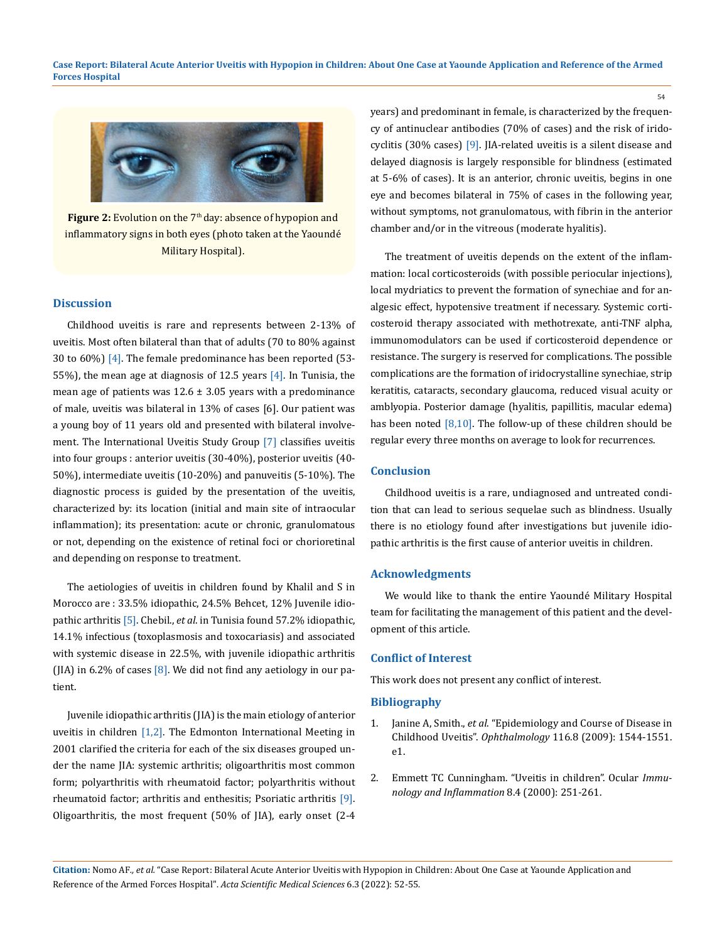**Case Report: Bilateral Acute Anterior Uveitis with Hypopion in Children: About One Case at Yaounde Application and Reference of the Armed Forces Hospital**



**Figure 2:** Evolution on the 7<sup>th</sup> day: absence of hypopion and inflammatory signs in both eyes (photo taken at the Yaoundé Military Hospital).

#### **Discussion**

Childhood uveitis is rare and represents between 2-13% of uveitis. Most often bilateral than that of adults (70 to 80% against 30 to 60%)  $[4]$ . The female predominance has been reported (53-55%), the mean age at diagnosis of 12.5 years  $[4]$ . In Tunisia, the mean age of patients was  $12.6 \pm 3.05$  years with a predominance of male, uveitis was bilateral in 13% of cases [6]. Our patient was a young boy of 11 years old and presented with bilateral involvement. The International Uveitis Study Group [7] classifies uveitis into four groups : anterior uveitis (30-40%), posterior uveitis (40- 50%), intermediate uveitis (10-20%) and panuveitis (5-10%). The diagnostic process is guided by the presentation of the uveitis, characterized by: its location (initial and main site of intraocular inflammation); its presentation: acute or chronic, granulomatous or not, depending on the existence of retinal foci or chorioretinal and depending on response to treatment.

The aetiologies of uveitis in children found by Khalil and S in Morocco are : 33.5% idiopathic, 24.5% Behcet, 12% Juvenile idiopathic arthritis [5]. Chebil., *et al*. in Tunisia found 57.2% idiopathic, 14.1% infectious (toxoplasmosis and toxocariasis) and associated with systemic disease in 22.5%, with juvenile idiopathic arthritis (JIA) in 6.2% of cases  $[8]$ . We did not find any aetiology in our patient.

Juvenile idiopathic arthritis (JIA) is the main etiology of anterior uveitis in children [1,2]. The Edmonton International Meeting in 2001 clarified the criteria for each of the six diseases grouped under the name JIA: systemic arthritis; oligoarthritis most common form; polyarthritis with rheumatoid factor; polyarthritis without rheumatoid factor; arthritis and enthesitis; Psoriatic arthritis [9]. Oligoarthritis, the most frequent (50% of JIA), early onset (2-4 years) and predominant in female, is characterized by the frequency of antinuclear antibodies (70% of cases) and the risk of iridocyclitis (30% cases) [9]. JIA-related uveitis is a silent disease and delayed diagnosis is largely responsible for blindness (estimated at 5-6% of cases). It is an anterior, chronic uveitis, begins in one eye and becomes bilateral in 75% of cases in the following year, without symptoms, not granulomatous, with fibrin in the anterior chamber and/or in the vitreous (moderate hyalitis).

The treatment of uveitis depends on the extent of the inflammation: local corticosteroids (with possible periocular injections), local mydriatics to prevent the formation of synechiae and for analgesic effect, hypotensive treatment if necessary. Systemic corticosteroid therapy associated with methotrexate, anti-TNF alpha, immunomodulators can be used if corticosteroid dependence or resistance. The surgery is reserved for complications. The possible complications are the formation of iridocrystalline synechiae, strip keratitis, cataracts, secondary glaucoma, reduced visual acuity or amblyopia. Posterior damage (hyalitis, papillitis, macular edema) has been noted [8,10]. The follow-up of these children should be regular every three months on average to look for recurrences.

## **Conclusion**

Childhood uveitis is a rare, undiagnosed and untreated condition that can lead to serious sequelae such as blindness. Usually there is no etiology found after investigations but juvenile idiopathic arthritis is the first cause of anterior uveitis in children.

#### **Acknowledgments**

We would like to thank the entire Yaoundé Military Hospital team for facilitating the management of this patient and the development of this article.

#### **Conflict of Interest**

This work does not present any conflict of interest.

#### **Bibliography**

- 1. Janine A, Smith., *et al*[. "Epidemiology and Course of Disease in](https://pubmed.ncbi.nlm.nih.gov/19651312/) Childhood Uveitis". *Ophthalmology* [116.8 \(2009\): 1544-1551.](https://pubmed.ncbi.nlm.nih.gov/19651312/) [e1.](https://pubmed.ncbi.nlm.nih.gov/19651312/)
- 2. Emmett TC Cunningham. "Uveitis in children". Ocular *Immunology and Inflammation* 8.4 (2000): 251-261.

**Citation:** Nomo AF*., et al.* "Case Report: Bilateral Acute Anterior Uveitis with Hypopion in Children: About One Case at Yaounde Application and Reference of the Armed Forces Hospital". *Acta Scientific Medical Sciences* 6.3 (2022): 52-55.

54